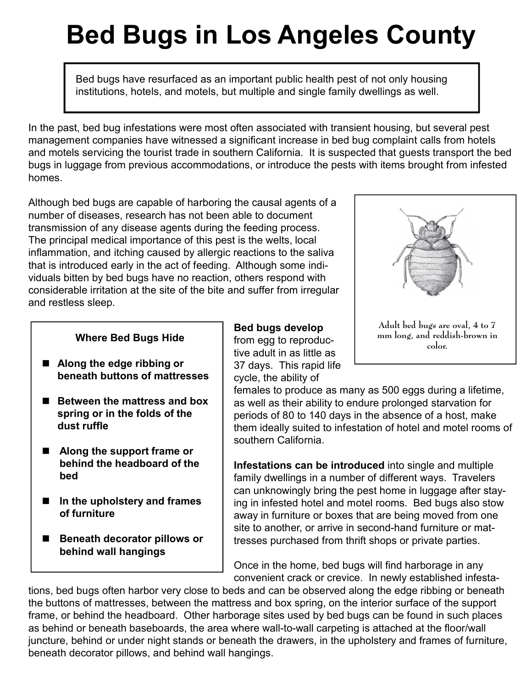## **Bed Bugs in Los Angeles County**

Bed bugs have resurfaced as an important public health pest of not only housing institutions, hotels, and motels, but multiple and single family dwellings as well.

In the past, bed bug infestations were most often associated with transient housing, but several pest management companies have witnessed a significant increase in bed bug complaint calls from hotels and motels servicing the tourist trade in southern California. It is suspected that guests transport the bed bugs in luggage from previous accommodations, or introduce the pests with items brought from infested homes.

Although bed bugs are capable of harboring the causal agents of a number of diseases, research has not been able to document transmission of any disease agents during the feeding process. The principal medical importance of this pest is the welts, local inflammation, and itching caused by allergic reactions to the saliva that is introduced early in the act of feeding. Although some individuals bitten by bed bugs have no reaction, others respond with considerable irritation at the site of the bite and suffer from irregular and restless sleep.

- **Along the edge ribbing or beneath buttons of mattresses**
- Between the mattress and box **spring or in the folds of the dust ruffle**
- Along the support frame or **behind the headboard of the bed**
- **In the upholstery and frames of furniture**
- **Beneath decorator pillows or behind wall hangings**

**Bed bugs develop** from egg to reproductive adult in as little as 37 days. This rapid life cycle, the ability of **Where Bed Bugs Hide** from egg to reproduc- mm long, and redd color.



females to produce as many as 500 eggs during a lifetime, as well as their ability to endure prolonged starvation for periods of 80 to 140 days in the absence of a host, make them ideally suited to infestation of hotel and motel rooms of southern California.

**Infestations can be introduced** into single and multiple family dwellings in a number of different ways. Travelers can unknowingly bring the pest home in luggage after staying in infested hotel and motel rooms. Bed bugs also stow away in furniture or boxes that are being moved from one site to another, or arrive in second-hand furniture or mattresses purchased from thrift shops or private parties.

Once in the home, bed bugs will find harborage in any convenient crack or crevice. In newly established infesta-

tions, bed bugs often harbor very close to beds and can be observed along the edge ribbing or beneath the buttons of mattresses, between the mattress and box spring, on the interior surface of the support frame, or behind the headboard. Other harborage sites used by bed bugs can be found in such places as behind or beneath baseboards, the area where wall-to-wall carpeting is attached at the floor/wall juncture, behind or under night stands or beneath the drawers, in the upholstery and frames of furniture, beneath decorator pillows, and behind wall hangings.